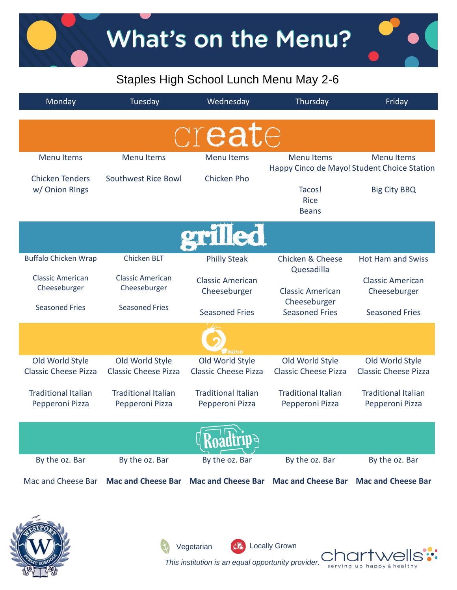## Staples High School Lunch Menu May 2-6

| Monday                                                        | Tuesday                                        | Wednesday                                      | Thursday                                                   | Friday                                                                                  |
|---------------------------------------------------------------|------------------------------------------------|------------------------------------------------|------------------------------------------------------------|-----------------------------------------------------------------------------------------|
|                                                               |                                                | create                                         |                                                            |                                                                                         |
| <b>Menu Items</b><br><b>Chicken Tenders</b><br>w/ Onion Rings | <b>Menu Items</b><br>Southwest Rice Bowl       | <b>Menu Items</b><br><b>Chicken Pho</b>        | <b>Menu Items</b><br>Tacos!<br><b>Rice</b><br><b>Beans</b> | <b>Menu Items</b><br>Happy Cinco de Mayo! Student Choice Station<br><b>Big City BBQ</b> |
|                                                               |                                                | grilled                                        |                                                            |                                                                                         |
| <b>Buffalo Chicken Wrap</b>                                   | <b>Chicken BLT</b>                             | <b>Philly Steak</b>                            | <b>Chicken &amp; Cheese</b><br>Quesadilla                  | <b>Hot Ham and Swiss</b>                                                                |
| <b>Classic American</b><br>Cheeseburger                       | <b>Classic American</b><br>Cheeseburger        | <b>Classic American</b><br>Cheeseburger        | <b>Classic American</b><br>Cheeseburger                    | <b>Classic American</b><br>Cheeseburger                                                 |
| <b>Seasoned Fries</b>                                         | <b>Seasoned Fries</b>                          | <b>Seasoned Fries</b>                          | <b>Seasoned Fries</b>                                      | <b>Seasoned Fries</b>                                                                   |
|                                                               |                                                |                                                |                                                            |                                                                                         |
| Old World Style<br><b>Classic Cheese Pizza</b>                | Old World Style<br><b>Classic Cheese Pizza</b> | Old World Style<br><b>Classic Cheese Pizza</b> | Old World Style<br><b>Classic Cheese Pizza</b>             | Old World Style<br><b>Classic Cheese Pizza</b>                                          |
| <b>Traditional Italian</b><br>Pepperoni Pizza                 | <b>Traditional Italian</b><br>Pepperoni Pizza  | <b>Traditional Italian</b><br>Pepperoni Pizza  | <b>Traditional Italian</b><br>Pepperoni Pizza              | <b>Traditional Italian</b><br>Pepperoni Pizza                                           |
|                                                               |                                                |                                                |                                                            |                                                                                         |
| By the oz. Bar                                                | By the oz. Bar                                 | By the oz. Bar                                 | By the oz. Bar                                             | By the oz. Bar                                                                          |
| Mac and Cheese Bar                                            | <b>Mac and Cheese Bar</b>                      | <b>Mac and Cheese Bar</b>                      | <b>Mac and Cheese Bar</b>                                  | <b>Mac and Cheese Bar</b>                                                               |





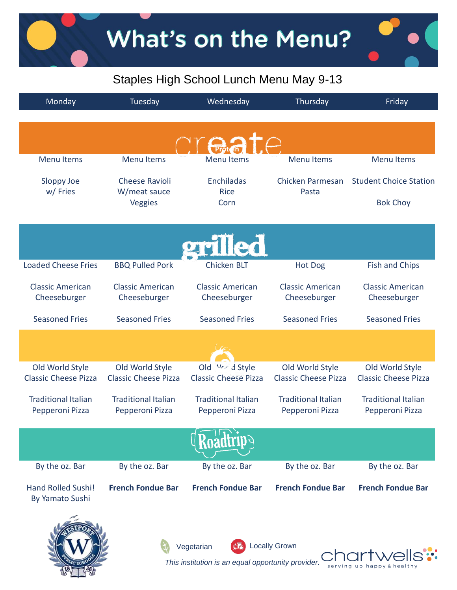$\bullet$ 

# Staples High School Lunch Menu May 9-13

| Monday                                             | Tuesday                                        | Wednesday                                       | Thursday                                       | Friday                                         |
|----------------------------------------------------|------------------------------------------------|-------------------------------------------------|------------------------------------------------|------------------------------------------------|
|                                                    |                                                |                                                 |                                                |                                                |
|                                                    |                                                |                                                 |                                                |                                                |
| <b>Menu Items</b>                                  | <b>Menu Items</b>                              | <b>Menu Items</b>                               | <b>Menu Items</b>                              | <b>Menu Items</b>                              |
|                                                    | <b>Cheese Ravioli</b>                          | <b>Enchiladas</b>                               | Chicken Parmesan                               | <b>Student Choice Station</b>                  |
| Sloppy Joe<br>w/Fries                              | W/meat sauce                                   | <b>Rice</b>                                     | Pasta                                          |                                                |
|                                                    | Veggies                                        | Corn                                            |                                                | <b>Bok Choy</b>                                |
|                                                    |                                                |                                                 |                                                |                                                |
|                                                    |                                                | erilled                                         |                                                |                                                |
| <b>Loaded Cheese Fries</b>                         | <b>BBQ Pulled Pork</b>                         | <b>Chicken BLT</b>                              | <b>Hot Dog</b>                                 | <b>Fish and Chips</b>                          |
| <b>Classic American</b>                            | <b>Classic American</b>                        | <b>Classic American</b>                         | <b>Classic American</b>                        | <b>Classic American</b>                        |
| Cheeseburger                                       | Cheeseburger                                   | Cheeseburger                                    | Cheeseburger                                   | Cheeseburger                                   |
| <b>Seasoned Fries</b>                              | <b>Seasoned Fries</b>                          | <b>Seasoned Fries</b>                           | <b>Seasoned Fries</b>                          | <b>Seasoned Fries</b>                          |
|                                                    |                                                |                                                 |                                                |                                                |
|                                                    |                                                |                                                 |                                                |                                                |
| Old World Style<br><b>Classic Cheese Pizza</b>     | Old World Style<br><b>Classic Cheese Pizza</b> | Old Mr.r d Style<br><b>Classic Cheese Pizza</b> | Old World Style<br><b>Classic Cheese Pizza</b> | Old World Style<br><b>Classic Cheese Pizza</b> |
|                                                    |                                                |                                                 |                                                |                                                |
| <b>Traditional Italian</b><br>Pepperoni Pizza      | <b>Traditional Italian</b><br>Pepperoni Pizza  | <b>Traditional Italian</b><br>Pepperoni Pizza   | <b>Traditional Italian</b><br>Pepperoni Pizza  | <b>Traditional Italian</b><br>Pepperoni Pizza  |
|                                                    |                                                |                                                 |                                                |                                                |
|                                                    |                                                |                                                 |                                                |                                                |
| By the oz. Bar                                     | By the oz. Bar                                 | By the oz. Bar                                  | By the oz. Bar                                 | By the oz. Bar                                 |
| <b>Hand Rolled Sushi!</b><br>By Yamato Sushi       | <b>French Fondue Bar</b>                       | <b>French Fondue Bar</b>                        | <b>French Fondue Bar</b>                       | <b>French Fondue Bar</b>                       |
|                                                    |                                                |                                                 |                                                |                                                |
|                                                    |                                                |                                                 |                                                |                                                |
| <b>Locally Grown</b><br>Vegetarian                 |                                                |                                                 |                                                |                                                |
| This institution is an equal opportunity provider. |                                                |                                                 |                                                |                                                |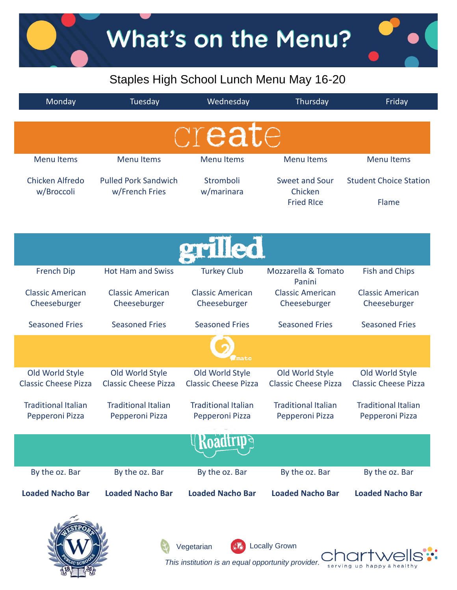What's on the Menu?

### Staples High School Lunch Menu May 16-20

| Monday                      | Tuesday                     | Wednesday                   | Thursday                      | Friday                        |
|-----------------------------|-----------------------------|-----------------------------|-------------------------------|-------------------------------|
|                             |                             |                             |                               |                               |
|                             |                             | create                      |                               |                               |
|                             |                             |                             |                               |                               |
| <b>Menu Items</b>           | <b>Menu Items</b>           | <b>Menu Items</b>           | <b>Menu Items</b>             | <b>Menu Items</b>             |
| Chicken Alfredo             | <b>Pulled Pork Sandwich</b> | Stromboli                   | Sweet and Sour                | <b>Student Choice Station</b> |
| w/Broccoli                  | w/French Fries              | w/marinara                  | Chicken<br><b>Fried RIce</b>  | Flame                         |
|                             |                             |                             |                               |                               |
|                             |                             |                             |                               |                               |
|                             |                             | grilled                     |                               |                               |
|                             |                             |                             |                               |                               |
| French Dip                  | <b>Hot Ham and Swiss</b>    | <b>Turkey Club</b>          | Mozzarella & Tomato<br>Panini | <b>Fish and Chips</b>         |
| <b>Classic American</b>     | <b>Classic American</b>     | <b>Classic American</b>     | <b>Classic American</b>       | <b>Classic American</b>       |
| Cheeseburger                | Cheeseburger                | Cheeseburger                | Cheeseburger                  | Cheeseburger                  |
| <b>Seasoned Fries</b>       | <b>Seasoned Fries</b>       | <b>Seasoned Fries</b>       | <b>Seasoned Fries</b>         | <b>Seasoned Fries</b>         |
|                             |                             |                             |                               |                               |
|                             |                             | nato                        |                               |                               |
| Old World Style             | Old World Style             | Old World Style             | Old World Style               | Old World Style               |
| <b>Classic Cheese Pizza</b> | <b>Classic Cheese Pizza</b> | <b>Classic Cheese Pizza</b> | <b>Classic Cheese Pizza</b>   | <b>Classic Cheese Pizza</b>   |
| <b>Traditional Italian</b>  | <b>Traditional Italian</b>  | <b>Traditional Italian</b>  | <b>Traditional Italian</b>    | <b>Traditional Italian</b>    |
| Pepperoni Pizza             | Pepperoni Pizza             | Pepperoni Pizza             | Pepperoni Pizza               | Pepperoni Pizza               |
|                             |                             |                             |                               |                               |
|                             |                             |                             |                               |                               |
| By the oz. Bar              | By the oz. Bar              | By the oz. Bar              | By the oz. Bar                | By the oz. Bar                |
| <b>Loaded Nacho Bar</b>     | <b>Loaded Nacho Bar</b>     | <b>Loaded Nacho Bar</b>     | <b>Loaded Nacho Bar</b>       | <b>Loaded Nacho Bar</b>       |
| بالمحيكة                    |                             |                             |                               |                               |

Vegetarian 66 Locally Grown

*This institution is an equal opportunity provider.* 

serving up happy & healthy

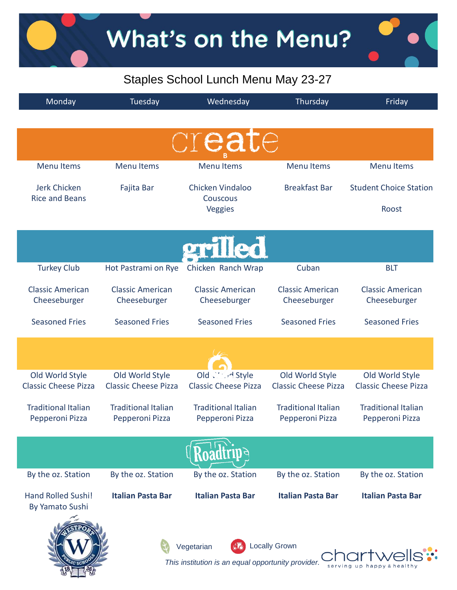### Staples School Lunch Menu May 23-27

| Monday                                             | Tuesday                     | Wednesday                   | Thursday                    | Friday                        |
|----------------------------------------------------|-----------------------------|-----------------------------|-----------------------------|-------------------------------|
|                                                    |                             |                             |                             |                               |
|                                                    |                             | create                      |                             |                               |
|                                                    |                             |                             |                             |                               |
| <b>Menu Items</b>                                  | <b>Menu Items</b>           | <b>Menu Items</b>           | <b>Menu Items</b>           | <b>Menu Items</b>             |
| <b>Jerk Chicken</b>                                | Fajita Bar                  | Chicken Vindaloo            | <b>Breakfast Bar</b>        | <b>Student Choice Station</b> |
| <b>Rice and Beans</b>                              |                             | Couscous<br>Veggies         |                             | Roost                         |
|                                                    |                             |                             |                             |                               |
|                                                    |                             |                             |                             |                               |
|                                                    |                             | erilled                     |                             |                               |
| <b>Turkey Club</b>                                 | Hot Pastrami on Rye         | Chicken Ranch Wrap          | Cuban                       | <b>BLT</b>                    |
| <b>Classic American</b>                            | <b>Classic American</b>     | <b>Classic American</b>     | <b>Classic American</b>     | <b>Classic American</b>       |
| Cheeseburger                                       | Cheeseburger                | Cheeseburger                | Cheeseburger                | Cheeseburger                  |
| <b>Seasoned Fries</b>                              | <b>Seasoned Fries</b>       | <b>Seasoned Fries</b>       | <b>Seasoned Fries</b>       | <b>Seasoned Fries</b>         |
|                                                    |                             |                             |                             |                               |
|                                                    |                             |                             |                             |                               |
| Old World Style                                    | Old World Style             | Old Withed Style            | Old World Style             | Old World Style               |
| <b>Classic Cheese Pizza</b>                        | <b>Classic Cheese Pizza</b> | <b>Classic Cheese Pizza</b> | <b>Classic Cheese Pizza</b> | <b>Classic Cheese Pizza</b>   |
| <b>Traditional Italian</b>                         | <b>Traditional Italian</b>  | <b>Traditional Italian</b>  | <b>Traditional Italian</b>  | <b>Traditional Italian</b>    |
| Pepperoni Pizza                                    | Pepperoni Pizza             | Pepperoni Pizza             | Pepperoni Pizza             | Pepperoni Pizza               |
|                                                    |                             |                             |                             |                               |
|                                                    |                             |                             |                             |                               |
| By the oz. Station                                 | By the oz. Station          | By the oz. Station          | By the oz. Station          | By the oz. Station            |
| <b>Hand Rolled Sushi!</b>                          | <b>Italian Pasta Bar</b>    | <b>Italian Pasta Bar</b>    | <b>Italian Pasta Bar</b>    | <b>Italian Pasta Bar</b>      |
| By Yamato Sushi                                    |                             |                             |                             |                               |
|                                                    |                             |                             |                             |                               |
| <b>Locally Grown</b><br>Vegetarian                 |                             |                             |                             |                               |
| This institution is an equal opportunity provider. |                             |                             |                             |                               |
|                                                    |                             |                             |                             | serving up happy              |